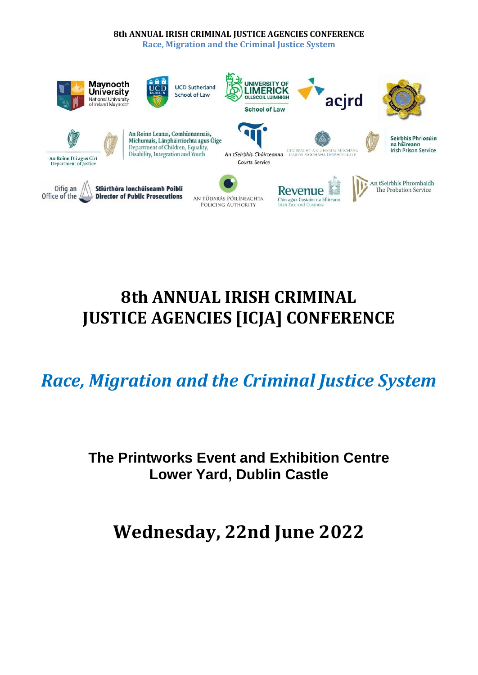#### **8th ANNUAL IRISH CRIMINAL JUSTICE AGENCIES CONFERENCE**

**Race, Migration and the Criminal Justice System**



# **8th ANNUAL IRISH CRIMINAL JUSTICE AGENCIES [ICJA] CONFERENCE**

*Race, Migration and the Criminal Justice System*

# **The Printworks Event and Exhibition Centre Lower Yard, Dublin Castle**

**Wednesday, 22nd June 2022**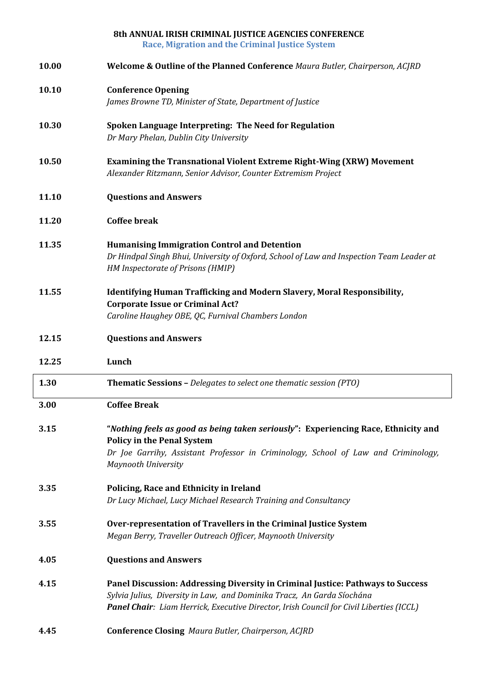|       | 8th ANNUAL IRISH CRIMINAL JUSTICE AGENCIES CONFERENCE<br><b>Race, Migration and the Criminal Justice System</b>                                                                                                                                      |
|-------|------------------------------------------------------------------------------------------------------------------------------------------------------------------------------------------------------------------------------------------------------|
| 10.00 | <b>Welcome &amp; Outline of the Planned Conference Maura Butler, Chairperson, ACJRD</b>                                                                                                                                                              |
| 10.10 | <b>Conference Opening</b>                                                                                                                                                                                                                            |
|       | James Browne TD, Minister of State, Department of Justice                                                                                                                                                                                            |
| 10.30 | Spoken Language Interpreting: The Need for Regulation<br>Dr Mary Phelan, Dublin City University                                                                                                                                                      |
| 10.50 | <b>Examining the Transnational Violent Extreme Right-Wing (XRW) Movement</b><br>Alexander Ritzmann, Senior Advisor, Counter Extremism Project                                                                                                        |
| 11.10 | <b>Questions and Answers</b>                                                                                                                                                                                                                         |
| 11.20 | <b>Coffee break</b>                                                                                                                                                                                                                                  |
| 11.35 | <b>Humanising Immigration Control and Detention</b>                                                                                                                                                                                                  |
|       | Dr Hindpal Singh Bhui, University of Oxford, School of Law and Inspection Team Leader at<br>HM Inspectorate of Prisons (HMIP)                                                                                                                        |
| 11.55 | Identifying Human Trafficking and Modern Slavery, Moral Responsibility,                                                                                                                                                                              |
|       | <b>Corporate Issue or Criminal Act?</b><br>Caroline Haughey OBE, QC, Furnival Chambers London                                                                                                                                                        |
|       |                                                                                                                                                                                                                                                      |
|       |                                                                                                                                                                                                                                                      |
| 12.15 | <b>Questions and Answers</b>                                                                                                                                                                                                                         |
| 12.25 | Lunch                                                                                                                                                                                                                                                |
| 1.30  | <b>Thematic Sessions - Delegates to select one thematic session (PTO)</b>                                                                                                                                                                            |
| 3.00  | <b>Coffee Break</b>                                                                                                                                                                                                                                  |
| 3.15  | "Nothing feels as good as being taken seriously": Experiencing Race, Ethnicity and<br><b>Policy in the Penal System</b>                                                                                                                              |
|       | Dr Joe Garrihy, Assistant Professor in Criminology, School of Law and Criminology,<br><b>Maynooth University</b>                                                                                                                                     |
| 3.35  | Policing, Race and Ethnicity in Ireland                                                                                                                                                                                                              |
|       | Dr Lucy Michael, Lucy Michael Research Training and Consultancy                                                                                                                                                                                      |
| 3.55  | Over-representation of Travellers in the Criminal Justice System<br>Megan Berry, Traveller Outreach Officer, Maynooth University                                                                                                                     |
| 4.05  | <b>Questions and Answers</b>                                                                                                                                                                                                                         |
| 4.15  | Panel Discussion: Addressing Diversity in Criminal Justice: Pathways to Success<br>Sylvia Julius, Diversity in Law, and Dominika Tracz, An Garda Síochána<br>Panel Chair: Liam Herrick, Executive Director, Irish Council for Civil Liberties (ICCL) |